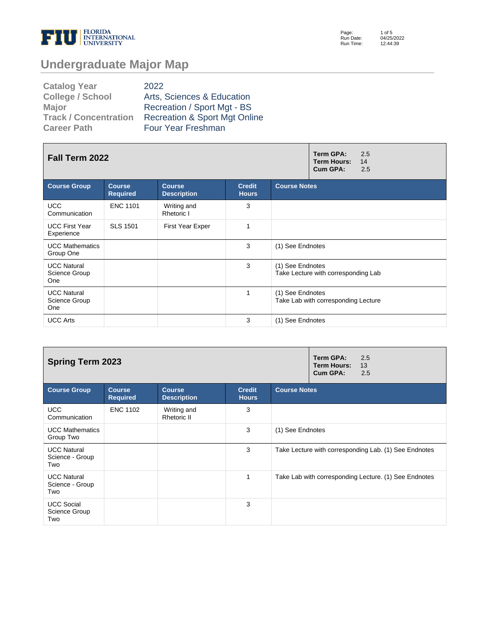

Page: Run Date: Run Time: 1 of 5 04/25/2022 12:44:39

# **Undergraduate Major Map**

| 2022                                     |
|------------------------------------------|
| Arts, Sciences & Education               |
| Recreation / Sport Mgt - BS              |
| <b>Recreation &amp; Sport Mgt Online</b> |
| Four Year Freshman                       |
|                                          |

| Fall Term 2022                                    |                                  | Term GPA:<br>2.5<br><b>Term Hours:</b><br>14<br>Cum GPA:<br>2.5 |                               |                                                         |
|---------------------------------------------------|----------------------------------|-----------------------------------------------------------------|-------------------------------|---------------------------------------------------------|
| <b>Course Group</b>                               | <b>Course</b><br><b>Required</b> | <b>Course</b><br><b>Description</b>                             | <b>Credit</b><br><b>Hours</b> | <b>Course Notes</b>                                     |
| <b>UCC</b><br>Communication                       | <b>ENC 1101</b>                  | Writing and<br>Rhetoric I                                       | 3                             |                                                         |
| <b>UCC First Year</b><br>Experience               | <b>SLS 1501</b>                  | <b>First Year Exper</b>                                         | 1                             |                                                         |
| <b>UCC Mathematics</b><br>Group One               |                                  |                                                                 | 3                             | (1) See Endnotes                                        |
| <b>UCC Natural</b><br>Science Group<br>One        |                                  |                                                                 | 3                             | (1) See Endnotes<br>Take Lecture with corresponding Lab |
| <b>UCC Natural</b><br>Science Group<br><b>One</b> |                                  |                                                                 | 1                             | (1) See Endnotes<br>Take Lab with corresponding Lecture |
| <b>UCC Arts</b>                                   |                                  |                                                                 | 3                             | (1) See Endnotes                                        |

| <b>Spring Term 2023</b>                      |                                  | Term GPA:<br>2.5<br><b>Term Hours:</b><br>13<br>2.5<br>Cum GPA: |                               |                                                       |
|----------------------------------------------|----------------------------------|-----------------------------------------------------------------|-------------------------------|-------------------------------------------------------|
| <b>Course Group</b>                          | <b>Course</b><br><b>Required</b> | <b>Course</b><br><b>Description</b>                             | <b>Credit</b><br><b>Hours</b> | <b>Course Notes</b>                                   |
| <b>UCC</b><br>Communication                  | <b>ENC 1102</b>                  | Writing and<br>Rhetoric II                                      | 3                             |                                                       |
| <b>UCC Mathematics</b><br>Group Two          |                                  |                                                                 | 3                             | (1) See Endnotes                                      |
| <b>UCC Natural</b><br>Science - Group<br>Two |                                  |                                                                 | 3                             | Take Lecture with corresponding Lab. (1) See Endnotes |
| <b>UCC Natural</b><br>Science - Group<br>Two |                                  |                                                                 | $\mathbf{1}$                  | Take Lab with corresponding Lecture. (1) See Endnotes |
| <b>UCC Social</b><br>Science Group<br>Two    |                                  |                                                                 | 3                             |                                                       |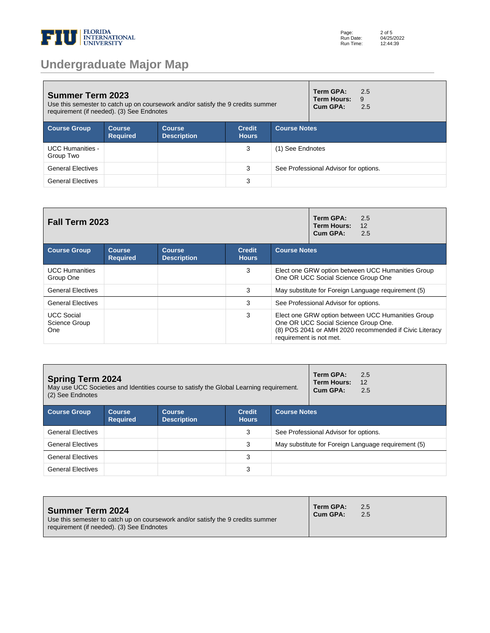

# **Undergraduate Major Map**

| <b>Summer Term 2023</b><br>Use this semester to catch up on coursework and/or satisfy the 9 credits summer<br>requirement (if needed). (3) See Endnotes |                                  |                                     |                               |                     | Term GPA:<br><b>Term Hours:</b><br>Cum GPA: | 2.5<br>9<br>2.5 |
|---------------------------------------------------------------------------------------------------------------------------------------------------------|----------------------------------|-------------------------------------|-------------------------------|---------------------|---------------------------------------------|-----------------|
| <b>Course Group</b>                                                                                                                                     | <b>Course</b><br><b>Required</b> | <b>Course</b><br><b>Description</b> | <b>Credit</b><br><b>Hours</b> | <b>Course Notes</b> |                                             |                 |
| <b>UCC Humanities -</b><br>Group Two                                                                                                                    |                                  |                                     | 3                             | (1) See Endnotes    |                                             |                 |
| <b>General Electives</b>                                                                                                                                |                                  |                                     | 3                             |                     | See Professional Advisor for options.       |                 |
| <b>General Electives</b>                                                                                                                                |                                  |                                     | 3                             |                     |                                             |                 |

| Fall Term 2023                            |                                  | Term GPA:<br>2.5<br>Term Hours:<br>12<br>Cum GPA:<br>2.5 |                               |                                                                                                                                                                                |  |  |  |
|-------------------------------------------|----------------------------------|----------------------------------------------------------|-------------------------------|--------------------------------------------------------------------------------------------------------------------------------------------------------------------------------|--|--|--|
| <b>Course Group</b>                       | <b>Course</b><br><b>Required</b> | <b>Course</b><br><b>Description</b>                      | <b>Credit</b><br><b>Hours</b> | <b>Course Notes</b>                                                                                                                                                            |  |  |  |
| <b>UCC Humanities</b><br>Group One        |                                  |                                                          | 3                             | Elect one GRW option between UCC Humanities Group<br>One OR UCC Social Science Group One                                                                                       |  |  |  |
| <b>General Electives</b>                  |                                  |                                                          | 3                             | May substitute for Foreign Language requirement (5)                                                                                                                            |  |  |  |
| <b>General Electives</b>                  |                                  |                                                          | 3                             | See Professional Advisor for options.                                                                                                                                          |  |  |  |
| <b>UCC Social</b><br>Science Group<br>One |                                  |                                                          | 3                             | Elect one GRW option between UCC Humanities Group<br>One OR UCC Social Science Group One.<br>(8) POS 2041 or AMH 2020 recommended if Civic Literacy<br>requirement is not met. |  |  |  |

| <b>Spring Term 2024</b><br>May use UCC Societies and Identities course to satisfy the Global Learning requirement.<br>(2) See Endnotes |                                  |                                     |                               |                     | Term GPA:<br><b>Term Hours:</b><br>Cum GPA: | 2.5<br>12<br>2.5                                    |
|----------------------------------------------------------------------------------------------------------------------------------------|----------------------------------|-------------------------------------|-------------------------------|---------------------|---------------------------------------------|-----------------------------------------------------|
| <b>Course Group</b>                                                                                                                    | <b>Course</b><br><b>Required</b> | <b>Course</b><br><b>Description</b> | <b>Credit</b><br><b>Hours</b> | <b>Course Notes</b> |                                             |                                                     |
| <b>General Electives</b>                                                                                                               |                                  |                                     | 3                             |                     | See Professional Advisor for options.       |                                                     |
| <b>General Electives</b>                                                                                                               |                                  |                                     | 3                             |                     |                                             | May substitute for Foreign Language requirement (5) |
| <b>General Electives</b>                                                                                                               |                                  |                                     | 3                             |                     |                                             |                                                     |
| <b>General Electives</b>                                                                                                               |                                  |                                     | 3                             |                     |                                             |                                                     |

| <b>Summer Term 2024</b><br>Use this semester to catch up on coursework and/or satisfy the 9 credits summer<br>requirement (if needed). (3) See Endnotes | Term GPA:<br>Cum GPA: | 2.5<br>2.5 |  |
|---------------------------------------------------------------------------------------------------------------------------------------------------------|-----------------------|------------|--|
|---------------------------------------------------------------------------------------------------------------------------------------------------------|-----------------------|------------|--|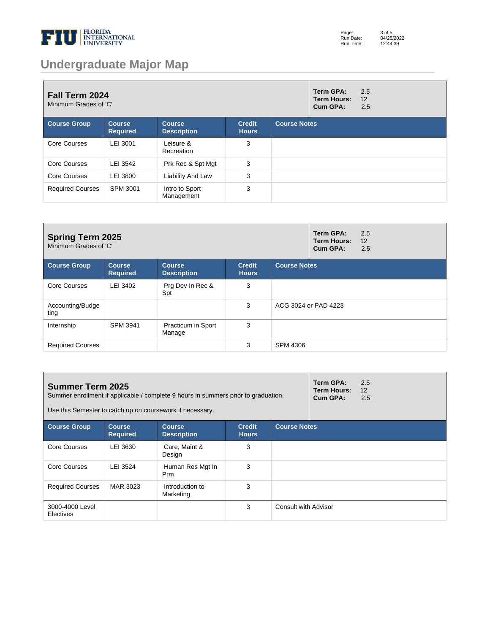

# **Undergraduate Major Map**

| Fall Term 2024<br>Minimum Grades of 'C' |                                  |                                     |                               |                     |  | 2.5<br>12<br>2.5 |
|-----------------------------------------|----------------------------------|-------------------------------------|-------------------------------|---------------------|--|------------------|
| <b>Course Group</b>                     | <b>Course</b><br><b>Required</b> | <b>Course</b><br><b>Description</b> | <b>Credit</b><br><b>Hours</b> | <b>Course Notes</b> |  |                  |
| <b>Core Courses</b>                     | LEI 3001                         | Leisure &<br>Recreation             | 3                             |                     |  |                  |
| <b>Core Courses</b>                     | LEI 3542                         | Prk Rec & Spt Mgt                   | 3                             |                     |  |                  |
| <b>Core Courses</b>                     | LEI 3800                         | Liability And Law                   | 3                             |                     |  |                  |
| <b>Required Courses</b>                 | SPM 3001                         | Intro to Sport<br>Management        | 3                             |                     |  |                  |

| <b>Spring Term 2025</b><br>Minimum Grades of 'C' |                                  |                                     |                               |                     | Term GPA:<br><b>Term Hours:</b><br>Cum GPA: | 2.5<br>12<br>2.5 |
|--------------------------------------------------|----------------------------------|-------------------------------------|-------------------------------|---------------------|---------------------------------------------|------------------|
| <b>Course Group</b>                              | <b>Course</b><br><b>Required</b> | <b>Course</b><br><b>Description</b> | <b>Credit</b><br><b>Hours</b> | <b>Course Notes</b> |                                             |                  |
| Core Courses                                     | LEI 3402                         | Prg Dev In Rec &<br>Spt             | 3                             |                     |                                             |                  |
| Accounting/Budge<br>ting                         |                                  |                                     | 3                             |                     | ACG 3024 or PAD 4223                        |                  |
| Internship                                       | SPM 3941                         | Practicum in Sport<br>Manage        | 3                             |                     |                                             |                  |
| <b>Required Courses</b>                          |                                  |                                     | 3                             | <b>SPM 4306</b>     |                                             |                  |

| <b>Summer Term 2025</b><br>Summer enrollment if applicable / complete 9 hours in summers prior to graduation.<br>Use this Semester to catch up on coursework if necessary. |                                  |                                     |                               |                      |  | 2.5<br>12<br>2.5 |
|----------------------------------------------------------------------------------------------------------------------------------------------------------------------------|----------------------------------|-------------------------------------|-------------------------------|----------------------|--|------------------|
| <b>Course Group</b>                                                                                                                                                        | <b>Course</b><br><b>Required</b> | <b>Course</b><br><b>Description</b> | <b>Credit</b><br><b>Hours</b> | <b>Course Notes</b>  |  |                  |
| Core Courses                                                                                                                                                               | LEI 3630                         | Care, Maint &<br>Design             | 3                             |                      |  |                  |
| Core Courses                                                                                                                                                               | LEI 3524                         | Human Res Mgt In<br>Prm             | 3                             |                      |  |                  |
| <b>Required Courses</b>                                                                                                                                                    | MAR 3023                         | Introduction to<br>Marketing        | 3                             |                      |  |                  |
| 3000-4000 Level<br>Electives                                                                                                                                               |                                  |                                     | 3                             | Consult with Advisor |  |                  |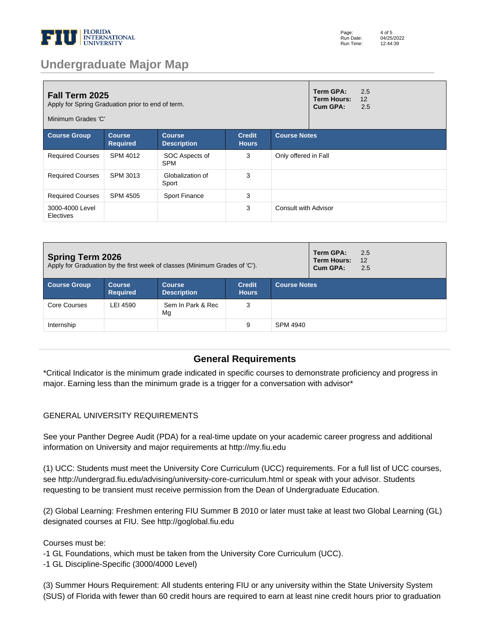

## **Undergraduate Major Map**

| <b>Fall Term 2025</b><br>Apply for Spring Graduation prior to end of term.<br>Minimum Grades 'C' |                                  |                                     |                               |                             | Term GPA:<br><b>Term Hours:</b><br>Cum GPA: | 2.5<br>12<br>2.5 |
|--------------------------------------------------------------------------------------------------|----------------------------------|-------------------------------------|-------------------------------|-----------------------------|---------------------------------------------|------------------|
| <b>Course Group</b>                                                                              | <b>Course</b><br><b>Required</b> | <b>Course</b><br><b>Description</b> | <b>Credit</b><br><b>Hours</b> | <b>Course Notes</b>         |                                             |                  |
| <b>Required Courses</b>                                                                          | SPM 4012                         | SOC Aspects of<br><b>SPM</b>        | 3                             | Only offered in Fall        |                                             |                  |
| <b>Required Courses</b>                                                                          | SPM 3013                         | Globalization of<br>Sport           | 3                             |                             |                                             |                  |
| <b>Required Courses</b>                                                                          | SPM 4505                         | Sport Finance                       | 3                             |                             |                                             |                  |
| 3000-4000 Level<br>Electives                                                                     |                                  |                                     | 3                             | <b>Consult with Advisor</b> |                                             |                  |

| <b>Spring Term 2026</b><br>Apply for Graduation by the first week of classes (Minimum Grades of 'C'). |                                  |                                     |                               |                     |  | 2.5<br>12<br>2.5 |
|-------------------------------------------------------------------------------------------------------|----------------------------------|-------------------------------------|-------------------------------|---------------------|--|------------------|
| <b>Course Group</b>                                                                                   | <b>Course</b><br><b>Required</b> | <b>Course</b><br><b>Description</b> | <b>Credit</b><br><b>Hours</b> | <b>Course Notes</b> |  |                  |
| Core Courses                                                                                          | LEI 4590                         | Sem In Park & Rec<br>Mg             | 3                             |                     |  |                  |
| Internship                                                                                            |                                  |                                     | 9                             | SPM 4940            |  |                  |

#### **General Requirements**

\*Critical Indicator is the minimum grade indicated in specific courses to demonstrate proficiency and progress in major. Earning less than the minimum grade is a trigger for a conversation with advisor\*

#### GENERAL UNIVERSITY REQUIREMENTS

See your Panther Degree Audit (PDA) for a real-time update on your academic career progress and additional information on University and major requirements at http://my.fiu.edu

(1) UCC: Students must meet the University Core Curriculum (UCC) requirements. For a full list of UCC courses, see http://undergrad.fiu.edu/advising/university-core-curriculum.html or speak with your advisor. Students requesting to be transient must receive permission from the Dean of Undergraduate Education.

(2) Global Learning: Freshmen entering FIU Summer B 2010 or later must take at least two Global Learning (GL) designated courses at FIU. See http://goglobal.fiu.edu

Courses must be:

- 1 GL Foundations, which must be taken from the University Core Curriculum (UCC).
- 1 GL Discipline-Specific (3000/4000 Level)

(3) Summer Hours Requirement: All students entering FIU or any university within the State University System (SUS) of Florida with fewer than 60 credit hours are required to earn at least nine credit hours prior to graduation